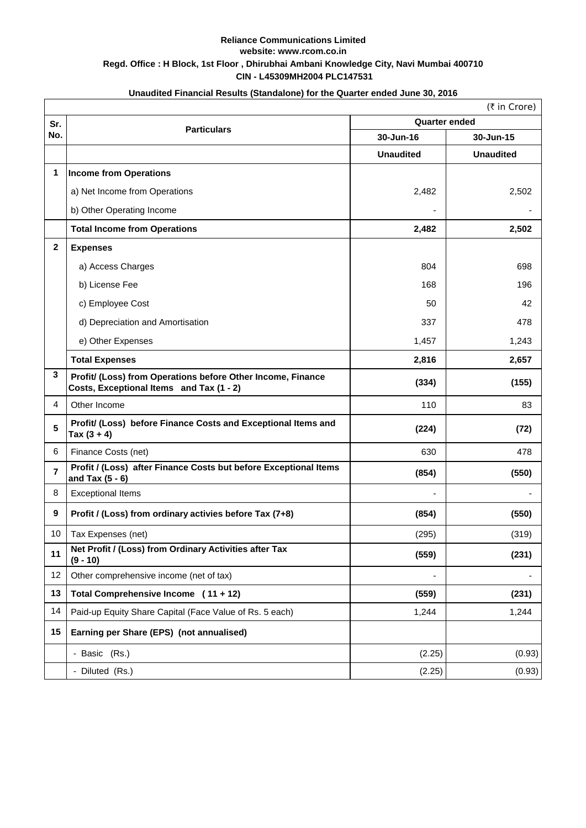## **CIN - L45309MH2004 PLC147531 Reliance Communications Limited website: www.rcom.co.in Regd. Office : H Block, 1st Floor , Dhirubhai Ambani Knowledge City, Navi Mumbai 400710**

| Unaudited Financial Results (Standalone) for the Quarter ended June 30, 2016 |                                                                                                         |                      |                  |  |  |
|------------------------------------------------------------------------------|---------------------------------------------------------------------------------------------------------|----------------------|------------------|--|--|
|                                                                              | (₹ in Crore)                                                                                            |                      |                  |  |  |
| Sr.<br>No.                                                                   | <b>Particulars</b>                                                                                      | <b>Quarter ended</b> |                  |  |  |
|                                                                              |                                                                                                         | 30-Jun-16            | 30-Jun-15        |  |  |
|                                                                              |                                                                                                         | <b>Unaudited</b>     | <b>Unaudited</b> |  |  |
| 1                                                                            | <b>Income from Operations</b>                                                                           |                      |                  |  |  |
|                                                                              | a) Net Income from Operations                                                                           | 2,482                | 2,502            |  |  |
|                                                                              | b) Other Operating Income                                                                               |                      |                  |  |  |
|                                                                              | <b>Total Income from Operations</b>                                                                     | 2,482                | 2,502            |  |  |
| $\overline{2}$                                                               | <b>Expenses</b>                                                                                         |                      |                  |  |  |
|                                                                              | a) Access Charges                                                                                       | 804                  | 698              |  |  |
|                                                                              | b) License Fee                                                                                          | 168                  | 196              |  |  |
|                                                                              | c) Employee Cost                                                                                        | 50                   | 42               |  |  |
|                                                                              | d) Depreciation and Amortisation                                                                        | 337                  | 478              |  |  |
|                                                                              | e) Other Expenses                                                                                       | 1,457                | 1,243            |  |  |
|                                                                              | <b>Total Expenses</b>                                                                                   | 2,816                | 2,657            |  |  |
| $\mathbf{3}$                                                                 | Profit/ (Loss) from Operations before Other Income, Finance<br>Costs, Exceptional Items and Tax (1 - 2) | (334)                | (155)            |  |  |
| $\overline{4}$                                                               | Other Income                                                                                            | 110                  | 83               |  |  |
| 5                                                                            | Profit/ (Loss) before Finance Costs and Exceptional Items and<br>Tax $(3 + 4)$                          | (224)                | (72)             |  |  |
| 6                                                                            | Finance Costs (net)                                                                                     | 630                  | 478              |  |  |
| $\overline{\mathbf{r}}$                                                      | Profit / (Loss) after Finance Costs but before Exceptional Items<br>and Tax $(5 - 6)$                   | (854)                | (550)            |  |  |
| 8                                                                            | <b>Exceptional Items</b>                                                                                |                      |                  |  |  |
| 9                                                                            | Profit / (Loss) from ordinary activies before Tax (7+8)                                                 | (854)                | (550)            |  |  |
| 10                                                                           | Tax Expenses (net)                                                                                      | (295)                | (319)            |  |  |
| 11                                                                           | Net Profit / (Loss) from Ordinary Activities after Tax<br>$(9 - 10)$                                    | (559)                | (231)            |  |  |
| 12                                                                           | Other comprehensive income (net of tax)                                                                 |                      |                  |  |  |
| 13                                                                           | Total Comprehensive Income (11 + 12)                                                                    | (559)                | (231)            |  |  |
| 14                                                                           | Paid-up Equity Share Capital (Face Value of Rs. 5 each)                                                 | 1,244                | 1,244            |  |  |
| 15                                                                           | Earning per Share (EPS) (not annualised)                                                                |                      |                  |  |  |
|                                                                              | - Basic (Rs.)                                                                                           | (2.25)               | (0.93)           |  |  |
|                                                                              | - Diluted (Rs.)                                                                                         | (2.25)               | (0.93)           |  |  |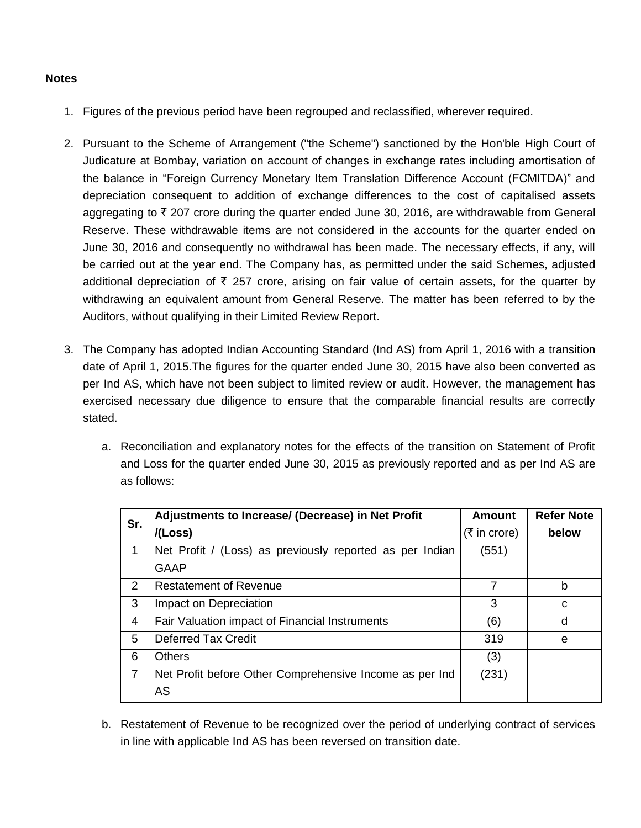## **Notes**

- 1. Figures of the previous period have been regrouped and reclassified, wherever required.
- 2. Pursuant to the Scheme of Arrangement ("the Scheme") sanctioned by the Hon'ble High Court of Judicature at Bombay, variation on account of changes in exchange rates including amortisation of the balance in "Foreign Currency Monetary Item Translation Difference Account (FCMITDA)" and depreciation consequent to addition of exchange differences to the cost of capitalised assets aggregating to  $\bar{\tau}$  207 crore during the quarter ended June 30, 2016, are withdrawable from General Reserve. These withdrawable items are not considered in the accounts for the quarter ended on June 30, 2016 and consequently no withdrawal has been made. The necessary effects, if any, will be carried out at the year end. The Company has, as permitted under the said Schemes, adjusted additional depreciation of  $\bar{\tau}$  257 crore, arising on fair value of certain assets, for the quarter by withdrawing an equivalent amount from General Reserve. The matter has been referred to by the Auditors, without qualifying in their Limited Review Report.
- 3. The Company has adopted Indian Accounting Standard (Ind AS) from April 1, 2016 with a transition date of April 1, 2015.The figures for the quarter ended June 30, 2015 have also been converted as per Ind AS, which have not been subject to limited review or audit. However, the management has exercised necessary due diligence to ensure that the comparable financial results are correctly stated.
	- a. Reconciliation and explanatory notes for the effects of the transition on Statement of Profit and Loss for the quarter ended June 30, 2015 as previously reported and as per Ind AS are as follows:

| Sr. | Adjustments to Increase/ (Decrease) in Net Profit        | <b>Amount</b>                 | <b>Refer Note</b> |
|-----|----------------------------------------------------------|-------------------------------|-------------------|
|     | /(Loss)                                                  | $(5 \text{ in } \text{core})$ | below             |
|     | Net Profit / (Loss) as previously reported as per Indian | (551)                         |                   |
|     | <b>GAAP</b>                                              |                               |                   |
| 2   | <b>Restatement of Revenue</b>                            | 7                             | b                 |
| 3   | Impact on Depreciation                                   | 3                             | C                 |
| 4   | Fair Valuation impact of Financial Instruments           | (6)                           | d                 |
| 5   | <b>Deferred Tax Credit</b>                               | 319                           | e                 |
| 6   | <b>Others</b>                                            | (3)                           |                   |
| 7   | Net Profit before Other Comprehensive Income as per Ind  | (231)                         |                   |
|     | AS                                                       |                               |                   |

b. Restatement of Revenue to be recognized over the period of underlying contract of services in line with applicable Ind AS has been reversed on transition date.